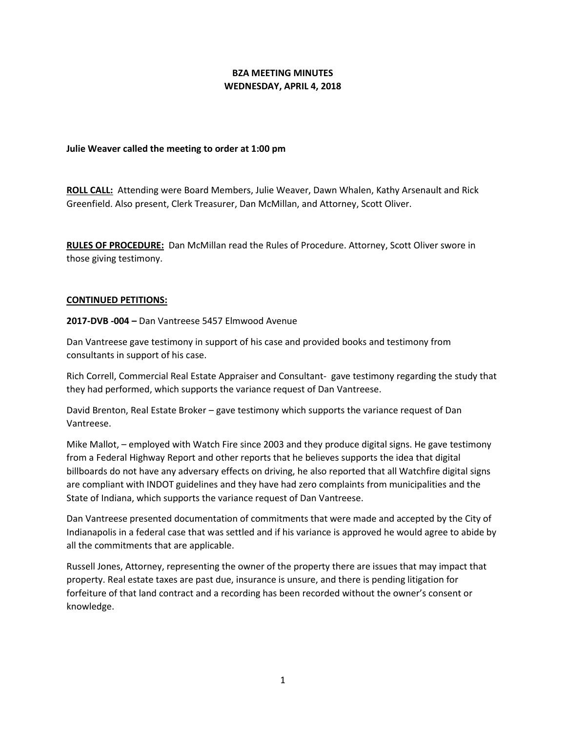# **BZA MEETING MINUTES WEDNESDAY, APRIL 4, 2018**

# **Julie Weaver called the meeting to order at 1:00 pm**

**ROLL CALL:** Attending were Board Members, Julie Weaver, Dawn Whalen, Kathy Arsenault and Rick Greenfield. Also present, Clerk Treasurer, Dan McMillan, and Attorney, Scott Oliver.

**RULES OF PROCEDURE:** Dan McMillan read the Rules of Procedure. Attorney, Scott Oliver swore in those giving testimony.

### **CONTINUED PETITIONS:**

**2017-DVB -004 –** Dan Vantreese 5457 Elmwood Avenue

Dan Vantreese gave testimony in support of his case and provided books and testimony from consultants in support of his case.

Rich Correll, Commercial Real Estate Appraiser and Consultant- gave testimony regarding the study that they had performed, which supports the variance request of Dan Vantreese.

David Brenton, Real Estate Broker – gave testimony which supports the variance request of Dan Vantreese.

Mike Mallot, – employed with Watch Fire since 2003 and they produce digital signs. He gave testimony from a Federal Highway Report and other reports that he believes supports the idea that digital billboards do not have any adversary effects on driving, he also reported that all Watchfire digital signs are compliant with INDOT guidelines and they have had zero complaints from municipalities and the State of Indiana, which supports the variance request of Dan Vantreese.

Dan Vantreese presented documentation of commitments that were made and accepted by the City of Indianapolis in a federal case that was settled and if his variance is approved he would agree to abide by all the commitments that are applicable.

Russell Jones, Attorney, representing the owner of the property there are issues that may impact that property. Real estate taxes are past due, insurance is unsure, and there is pending litigation for forfeiture of that land contract and a recording has been recorded without the owner's consent or knowledge.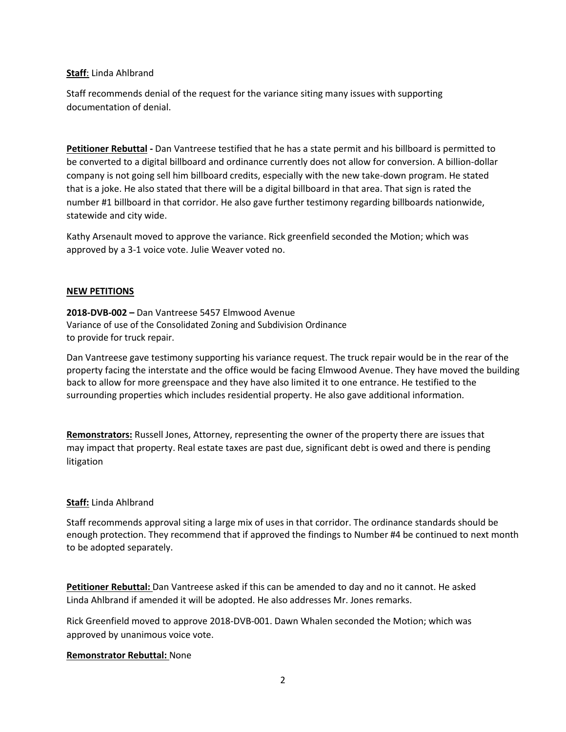## **Staff**: Linda Ahlbrand

Staff recommends denial of the request for the variance siting many issues with supporting documentation of denial.

**Petitioner Rebuttal -** Dan Vantreese testified that he has a state permit and his billboard is permitted to be converted to a digital billboard and ordinance currently does not allow for conversion. A billion-dollar company is not going sell him billboard credits, especially with the new take-down program. He stated that is a joke. He also stated that there will be a digital billboard in that area. That sign is rated the number #1 billboard in that corridor. He also gave further testimony regarding billboards nationwide, statewide and city wide.

Kathy Arsenault moved to approve the variance. Rick greenfield seconded the Motion; which was approved by a 3-1 voice vote. Julie Weaver voted no.

### **NEW PETITIONS**

**2018-DVB-002 –** Dan Vantreese 5457 Elmwood Avenue Variance of use of the Consolidated Zoning and Subdivision Ordinance to provide for truck repair.

Dan Vantreese gave testimony supporting his variance request. The truck repair would be in the rear of the property facing the interstate and the office would be facing Elmwood Avenue. They have moved the building back to allow for more greenspace and they have also limited it to one entrance. He testified to the surrounding properties which includes residential property. He also gave additional information.

**Remonstrators:** Russell Jones, Attorney, representing the owner of the property there are issues that may impact that property. Real estate taxes are past due, significant debt is owed and there is pending litigation

# **Staff:** Linda Ahlbrand

Staff recommends approval siting a large mix of uses in that corridor. The ordinance standards should be enough protection. They recommend that if approved the findings to Number #4 be continued to next month to be adopted separately.

**Petitioner Rebuttal:** Dan Vantreese asked if this can be amended to day and no it cannot. He asked Linda Ahlbrand if amended it will be adopted. He also addresses Mr. Jones remarks.

Rick Greenfield moved to approve 2018-DVB-001. Dawn Whalen seconded the Motion; which was approved by unanimous voice vote.

#### **Remonstrator Rebuttal:** None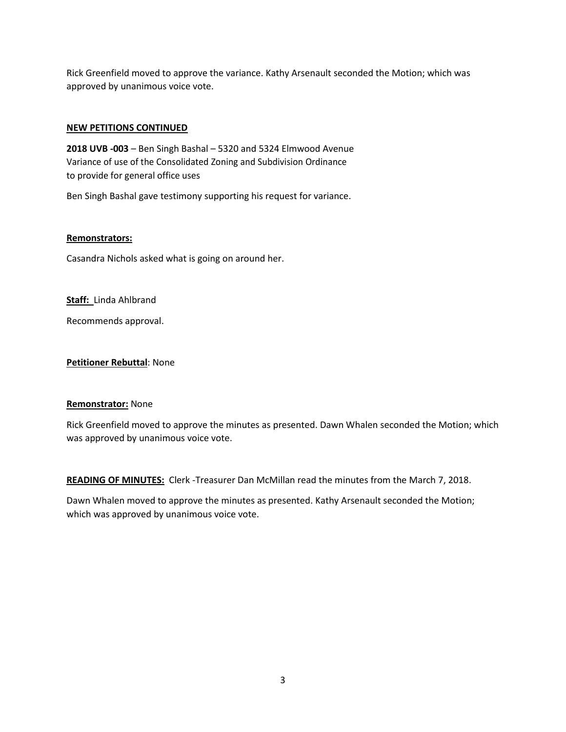Rick Greenfield moved to approve the variance. Kathy Arsenault seconded the Motion; which was approved by unanimous voice vote.

### **NEW PETITIONS CONTINUED**

**2018 UVB -003** – Ben Singh Bashal – 5320 and 5324 Elmwood Avenue Variance of use of the Consolidated Zoning and Subdivision Ordinance to provide for general office uses

Ben Singh Bashal gave testimony supporting his request for variance.

#### **Remonstrators:**

Casandra Nichols asked what is going on around her.

**Staff:** Linda Ahlbrand

Recommends approval.

**Petitioner Rebuttal**: None

#### **Remonstrator:** None

Rick Greenfield moved to approve the minutes as presented. Dawn Whalen seconded the Motion; which was approved by unanimous voice vote.

**READING OF MINUTES:** Clerk -Treasurer Dan McMillan read the minutes from the March 7, 2018.

Dawn Whalen moved to approve the minutes as presented. Kathy Arsenault seconded the Motion; which was approved by unanimous voice vote.